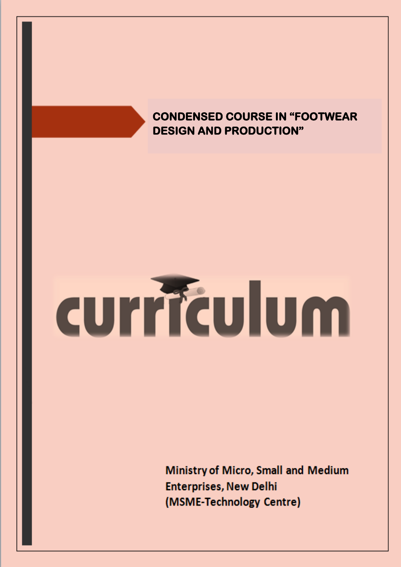# **CONDENSED COURSE IN "FOOTWEAR DESIGN AND PRODUCTION"**

# curriculum

Ministry of Micro, Small and Medium **Enterprises, New Delhi** (MSME-Technology Centre)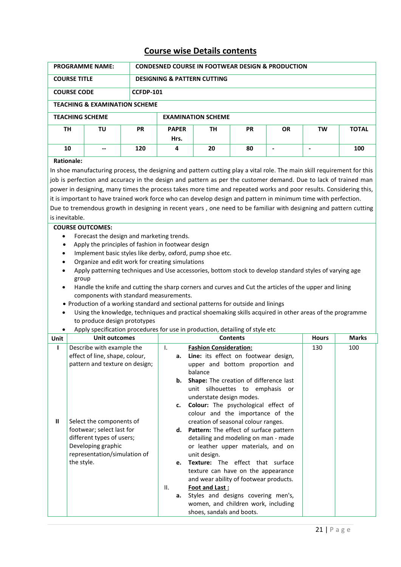## **Course wise Details contents**

|                                                                            | <b>PROGRAMME NAME:</b><br><b>CONDESNED COURSE IN FOOTWEAR DESIGN &amp; PRODUCTION</b>                                                                                                                                                                                                                                                                                                                                                                                                                                                                                                                                                                                                                                                                                                                                                                                                                                                                                                                                                                                                                                                                                                                                                                                                                                                           |           |                                        |                                                                                                                                                                                                                                                                                                                                                                                                                                                                                                                                                                        |                 |                |                |              |  |  |
|----------------------------------------------------------------------------|-------------------------------------------------------------------------------------------------------------------------------------------------------------------------------------------------------------------------------------------------------------------------------------------------------------------------------------------------------------------------------------------------------------------------------------------------------------------------------------------------------------------------------------------------------------------------------------------------------------------------------------------------------------------------------------------------------------------------------------------------------------------------------------------------------------------------------------------------------------------------------------------------------------------------------------------------------------------------------------------------------------------------------------------------------------------------------------------------------------------------------------------------------------------------------------------------------------------------------------------------------------------------------------------------------------------------------------------------|-----------|----------------------------------------|------------------------------------------------------------------------------------------------------------------------------------------------------------------------------------------------------------------------------------------------------------------------------------------------------------------------------------------------------------------------------------------------------------------------------------------------------------------------------------------------------------------------------------------------------------------------|-----------------|----------------|----------------|--------------|--|--|
|                                                                            | <b>COURSE TITLE</b>                                                                                                                                                                                                                                                                                                                                                                                                                                                                                                                                                                                                                                                                                                                                                                                                                                                                                                                                                                                                                                                                                                                                                                                                                                                                                                                             |           | <b>DESIGNING &amp; PATTERN CUTTING</b> |                                                                                                                                                                                                                                                                                                                                                                                                                                                                                                                                                                        |                 |                |                |              |  |  |
|                                                                            | <b>COURSE CODE</b>                                                                                                                                                                                                                                                                                                                                                                                                                                                                                                                                                                                                                                                                                                                                                                                                                                                                                                                                                                                                                                                                                                                                                                                                                                                                                                                              |           | <b>CCFDP-101</b>                       |                                                                                                                                                                                                                                                                                                                                                                                                                                                                                                                                                                        |                 |                |                |              |  |  |
|                                                                            | <b>TEACHING &amp; EXAMINATION SCHEME</b>                                                                                                                                                                                                                                                                                                                                                                                                                                                                                                                                                                                                                                                                                                                                                                                                                                                                                                                                                                                                                                                                                                                                                                                                                                                                                                        |           |                                        |                                                                                                                                                                                                                                                                                                                                                                                                                                                                                                                                                                        |                 |                |                |              |  |  |
|                                                                            | <b>TEACHING SCHEME</b>                                                                                                                                                                                                                                                                                                                                                                                                                                                                                                                                                                                                                                                                                                                                                                                                                                                                                                                                                                                                                                                                                                                                                                                                                                                                                                                          |           |                                        | <b>EXAMINATION SCHEME</b>                                                                                                                                                                                                                                                                                                                                                                                                                                                                                                                                              |                 |                |                |              |  |  |
| <b>TH</b>                                                                  | TU                                                                                                                                                                                                                                                                                                                                                                                                                                                                                                                                                                                                                                                                                                                                                                                                                                                                                                                                                                                                                                                                                                                                                                                                                                                                                                                                              | <b>PR</b> | <b>PAPER</b><br>Hrs.                   | TН                                                                                                                                                                                                                                                                                                                                                                                                                                                                                                                                                                     | <b>PR</b>       | <b>OR</b>      | TW             | <b>TOTAL</b> |  |  |
| 10                                                                         |                                                                                                                                                                                                                                                                                                                                                                                                                                                                                                                                                                                                                                                                                                                                                                                                                                                                                                                                                                                                                                                                                                                                                                                                                                                                                                                                                 | 120       | 4                                      | 20                                                                                                                                                                                                                                                                                                                                                                                                                                                                                                                                                                     | 80              | $\overline{a}$ | $\overline{a}$ | 100          |  |  |
| <b>Rationale:</b>                                                          |                                                                                                                                                                                                                                                                                                                                                                                                                                                                                                                                                                                                                                                                                                                                                                                                                                                                                                                                                                                                                                                                                                                                                                                                                                                                                                                                                 |           |                                        |                                                                                                                                                                                                                                                                                                                                                                                                                                                                                                                                                                        |                 |                |                |              |  |  |
| $\bullet$<br>$\bullet$<br>$\bullet$<br>$\bullet$<br>$\bullet$<br>$\bullet$ | In shoe manufacturing process, the designing and pattern cutting play a vital role. The main skill requirement for this<br>job is perfection and accuracy in the design and pattern as per the customer demand. Due to lack of trained man<br>power in designing, many times the process takes more time and repeated works and poor results. Considering this,<br>it is important to have trained work force who can develop design and pattern in minimum time with perfection.<br>Due to tremendous growth in designing in recent years, one need to be familiar with designing and pattern cutting<br>is inevitable.<br><b>COURSE OUTCOMES:</b><br>Forecast the design and marketing trends.<br>Apply the principles of fashion in footwear design<br>Implement basic styles like derby, oxford, pump shoe etc.<br>Organize and edit work for creating simulations<br>Apply patterning techniques and Use accessories, bottom stock to develop standard styles of varying age<br>group<br>Handle the knife and cutting the sharp corners and curves and Cut the articles of the upper and lining<br>components with standard measurements.<br>• Production of a working standard and sectional patterns for outside and linings<br>Using the knowledge, techniques and practical shoemaking skills acquired in other areas of the programme |           |                                        |                                                                                                                                                                                                                                                                                                                                                                                                                                                                                                                                                                        |                 |                |                |              |  |  |
|                                                                            | Apply specification procedures for use in production, detailing of style etc                                                                                                                                                                                                                                                                                                                                                                                                                                                                                                                                                                                                                                                                                                                                                                                                                                                                                                                                                                                                                                                                                                                                                                                                                                                                    |           |                                        |                                                                                                                                                                                                                                                                                                                                                                                                                                                                                                                                                                        |                 |                |                |              |  |  |
| Unit                                                                       | <b>Unit outcomes</b>                                                                                                                                                                                                                                                                                                                                                                                                                                                                                                                                                                                                                                                                                                                                                                                                                                                                                                                                                                                                                                                                                                                                                                                                                                                                                                                            |           |                                        |                                                                                                                                                                                                                                                                                                                                                                                                                                                                                                                                                                        | <b>Contents</b> |                | <b>Hours</b>   | <b>Marks</b> |  |  |
| $\mathbf{I}$<br>Ш                                                          | Describe with example the<br>effect of line, shape, colour,<br>pattern and texture on design;<br>Select the components of<br>footwear; select last for<br>different types of users;<br>Developing graphic<br>representation/simulation of<br>the style.                                                                                                                                                                                                                                                                                                                                                                                                                                                                                                                                                                                                                                                                                                                                                                                                                                                                                                                                                                                                                                                                                         |           | I.<br>b.<br>c.<br>е.                   | <b>Fashion Consideration:</b><br>a. Line: its effect on footwear design,<br>upper and bottom proportion and<br>balance<br>Shape: The creation of difference last<br>unit silhouettes to emphasis or<br>understate design modes.<br>Colour: The psychological effect of<br>colour and the importance of the<br>creation of seasonal colour ranges.<br>d. Pattern: The effect of surface pattern<br>detailing and modeling on man - made<br>or leather upper materials, and on<br>unit design.<br>Texture: The effect that surface<br>texture can have on the appearance |                 |                | 130            | 100          |  |  |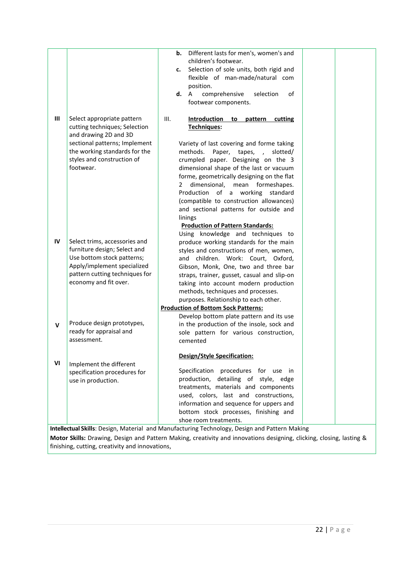| Different lasts for men's, women's and<br>children's footwear.<br>Selection of sole units, both rigid and<br>c.<br>flexible of man-made/natural com<br>position.<br><b>d.</b> A<br>comprehensive<br>selection<br>οf<br>footwear components.<br>III<br>Select appropriate pattern<br>III.<br>Introduction<br>to pattern cutting<br>cutting techniques; Selection<br>Techniques:<br>and drawing 2D and 3D<br>sectional patterns; Implement<br>Variety of last covering and forme taking<br>the working standards for the<br>methods.<br>Paper, tapes, ,<br>slotted/<br>styles and construction of<br>crumpled paper. Designing on the 3<br>footwear.<br>dimensional shape of the last or vacuum<br>forme, geometrically designing on the flat<br>dimensional,<br>formeshapes.<br>mean<br>2<br>Production of a working standard<br>(compatible to construction allowances)<br>and sectional patterns for outside and<br>linings<br><b>Production of Pattern Standards:</b><br>Using knowledge and techniques to<br>IV<br>Select trims, accessories and<br>produce working standards for the main<br>furniture design; Select and<br>styles and constructions of men, women,<br>Use bottom stock patterns;<br>and children. Work: Court, Oxford,<br>Apply/implement specialized<br>Gibson, Monk, One, two and three bar |
|---------------------------------------------------------------------------------------------------------------------------------------------------------------------------------------------------------------------------------------------------------------------------------------------------------------------------------------------------------------------------------------------------------------------------------------------------------------------------------------------------------------------------------------------------------------------------------------------------------------------------------------------------------------------------------------------------------------------------------------------------------------------------------------------------------------------------------------------------------------------------------------------------------------------------------------------------------------------------------------------------------------------------------------------------------------------------------------------------------------------------------------------------------------------------------------------------------------------------------------------------------------------------------------------------------------------|
|                                                                                                                                                                                                                                                                                                                                                                                                                                                                                                                                                                                                                                                                                                                                                                                                                                                                                                                                                                                                                                                                                                                                                                                                                                                                                                                     |
|                                                                                                                                                                                                                                                                                                                                                                                                                                                                                                                                                                                                                                                                                                                                                                                                                                                                                                                                                                                                                                                                                                                                                                                                                                                                                                                     |
|                                                                                                                                                                                                                                                                                                                                                                                                                                                                                                                                                                                                                                                                                                                                                                                                                                                                                                                                                                                                                                                                                                                                                                                                                                                                                                                     |
|                                                                                                                                                                                                                                                                                                                                                                                                                                                                                                                                                                                                                                                                                                                                                                                                                                                                                                                                                                                                                                                                                                                                                                                                                                                                                                                     |
|                                                                                                                                                                                                                                                                                                                                                                                                                                                                                                                                                                                                                                                                                                                                                                                                                                                                                                                                                                                                                                                                                                                                                                                                                                                                                                                     |
|                                                                                                                                                                                                                                                                                                                                                                                                                                                                                                                                                                                                                                                                                                                                                                                                                                                                                                                                                                                                                                                                                                                                                                                                                                                                                                                     |
|                                                                                                                                                                                                                                                                                                                                                                                                                                                                                                                                                                                                                                                                                                                                                                                                                                                                                                                                                                                                                                                                                                                                                                                                                                                                                                                     |
|                                                                                                                                                                                                                                                                                                                                                                                                                                                                                                                                                                                                                                                                                                                                                                                                                                                                                                                                                                                                                                                                                                                                                                                                                                                                                                                     |
|                                                                                                                                                                                                                                                                                                                                                                                                                                                                                                                                                                                                                                                                                                                                                                                                                                                                                                                                                                                                                                                                                                                                                                                                                                                                                                                     |
|                                                                                                                                                                                                                                                                                                                                                                                                                                                                                                                                                                                                                                                                                                                                                                                                                                                                                                                                                                                                                                                                                                                                                                                                                                                                                                                     |
|                                                                                                                                                                                                                                                                                                                                                                                                                                                                                                                                                                                                                                                                                                                                                                                                                                                                                                                                                                                                                                                                                                                                                                                                                                                                                                                     |
|                                                                                                                                                                                                                                                                                                                                                                                                                                                                                                                                                                                                                                                                                                                                                                                                                                                                                                                                                                                                                                                                                                                                                                                                                                                                                                                     |
|                                                                                                                                                                                                                                                                                                                                                                                                                                                                                                                                                                                                                                                                                                                                                                                                                                                                                                                                                                                                                                                                                                                                                                                                                                                                                                                     |
|                                                                                                                                                                                                                                                                                                                                                                                                                                                                                                                                                                                                                                                                                                                                                                                                                                                                                                                                                                                                                                                                                                                                                                                                                                                                                                                     |
|                                                                                                                                                                                                                                                                                                                                                                                                                                                                                                                                                                                                                                                                                                                                                                                                                                                                                                                                                                                                                                                                                                                                                                                                                                                                                                                     |
|                                                                                                                                                                                                                                                                                                                                                                                                                                                                                                                                                                                                                                                                                                                                                                                                                                                                                                                                                                                                                                                                                                                                                                                                                                                                                                                     |
|                                                                                                                                                                                                                                                                                                                                                                                                                                                                                                                                                                                                                                                                                                                                                                                                                                                                                                                                                                                                                                                                                                                                                                                                                                                                                                                     |
|                                                                                                                                                                                                                                                                                                                                                                                                                                                                                                                                                                                                                                                                                                                                                                                                                                                                                                                                                                                                                                                                                                                                                                                                                                                                                                                     |
|                                                                                                                                                                                                                                                                                                                                                                                                                                                                                                                                                                                                                                                                                                                                                                                                                                                                                                                                                                                                                                                                                                                                                                                                                                                                                                                     |
|                                                                                                                                                                                                                                                                                                                                                                                                                                                                                                                                                                                                                                                                                                                                                                                                                                                                                                                                                                                                                                                                                                                                                                                                                                                                                                                     |
|                                                                                                                                                                                                                                                                                                                                                                                                                                                                                                                                                                                                                                                                                                                                                                                                                                                                                                                                                                                                                                                                                                                                                                                                                                                                                                                     |
|                                                                                                                                                                                                                                                                                                                                                                                                                                                                                                                                                                                                                                                                                                                                                                                                                                                                                                                                                                                                                                                                                                                                                                                                                                                                                                                     |
|                                                                                                                                                                                                                                                                                                                                                                                                                                                                                                                                                                                                                                                                                                                                                                                                                                                                                                                                                                                                                                                                                                                                                                                                                                                                                                                     |
|                                                                                                                                                                                                                                                                                                                                                                                                                                                                                                                                                                                                                                                                                                                                                                                                                                                                                                                                                                                                                                                                                                                                                                                                                                                                                                                     |
|                                                                                                                                                                                                                                                                                                                                                                                                                                                                                                                                                                                                                                                                                                                                                                                                                                                                                                                                                                                                                                                                                                                                                                                                                                                                                                                     |
|                                                                                                                                                                                                                                                                                                                                                                                                                                                                                                                                                                                                                                                                                                                                                                                                                                                                                                                                                                                                                                                                                                                                                                                                                                                                                                                     |
| pattern cutting techniques for<br>straps, trainer, gusset, casual and slip-on                                                                                                                                                                                                                                                                                                                                                                                                                                                                                                                                                                                                                                                                                                                                                                                                                                                                                                                                                                                                                                                                                                                                                                                                                                       |
| economy and fit over.<br>taking into account modern production                                                                                                                                                                                                                                                                                                                                                                                                                                                                                                                                                                                                                                                                                                                                                                                                                                                                                                                                                                                                                                                                                                                                                                                                                                                      |
| methods, techniques and processes.                                                                                                                                                                                                                                                                                                                                                                                                                                                                                                                                                                                                                                                                                                                                                                                                                                                                                                                                                                                                                                                                                                                                                                                                                                                                                  |
| purposes. Relationship to each other.                                                                                                                                                                                                                                                                                                                                                                                                                                                                                                                                                                                                                                                                                                                                                                                                                                                                                                                                                                                                                                                                                                                                                                                                                                                                               |
| <b>Production of Bottom Sock Patterns:</b>                                                                                                                                                                                                                                                                                                                                                                                                                                                                                                                                                                                                                                                                                                                                                                                                                                                                                                                                                                                                                                                                                                                                                                                                                                                                          |
| Develop bottom plate pattern and its use                                                                                                                                                                                                                                                                                                                                                                                                                                                                                                                                                                                                                                                                                                                                                                                                                                                                                                                                                                                                                                                                                                                                                                                                                                                                            |
| Produce design prototypes,<br>in the production of the insole, sock and<br>$\mathsf{v}$                                                                                                                                                                                                                                                                                                                                                                                                                                                                                                                                                                                                                                                                                                                                                                                                                                                                                                                                                                                                                                                                                                                                                                                                                             |
| ready for appraisal and<br>sole pattern for various construction,                                                                                                                                                                                                                                                                                                                                                                                                                                                                                                                                                                                                                                                                                                                                                                                                                                                                                                                                                                                                                                                                                                                                                                                                                                                   |
| assessment.<br>cemented                                                                                                                                                                                                                                                                                                                                                                                                                                                                                                                                                                                                                                                                                                                                                                                                                                                                                                                                                                                                                                                                                                                                                                                                                                                                                             |
| <b>Design/Style Specification:</b>                                                                                                                                                                                                                                                                                                                                                                                                                                                                                                                                                                                                                                                                                                                                                                                                                                                                                                                                                                                                                                                                                                                                                                                                                                                                                  |
| VI<br>Implement the different                                                                                                                                                                                                                                                                                                                                                                                                                                                                                                                                                                                                                                                                                                                                                                                                                                                                                                                                                                                                                                                                                                                                                                                                                                                                                       |
| Specification procedures for use in<br>specification procedures for                                                                                                                                                                                                                                                                                                                                                                                                                                                                                                                                                                                                                                                                                                                                                                                                                                                                                                                                                                                                                                                                                                                                                                                                                                                 |
| production, detailing of style, edge<br>use in production.                                                                                                                                                                                                                                                                                                                                                                                                                                                                                                                                                                                                                                                                                                                                                                                                                                                                                                                                                                                                                                                                                                                                                                                                                                                          |
| treatments, materials and components                                                                                                                                                                                                                                                                                                                                                                                                                                                                                                                                                                                                                                                                                                                                                                                                                                                                                                                                                                                                                                                                                                                                                                                                                                                                                |
| used, colors, last and constructions,                                                                                                                                                                                                                                                                                                                                                                                                                                                                                                                                                                                                                                                                                                                                                                                                                                                                                                                                                                                                                                                                                                                                                                                                                                                                               |
| information and sequence for uppers and                                                                                                                                                                                                                                                                                                                                                                                                                                                                                                                                                                                                                                                                                                                                                                                                                                                                                                                                                                                                                                                                                                                                                                                                                                                                             |
| bottom stock processes, finishing and                                                                                                                                                                                                                                                                                                                                                                                                                                                                                                                                                                                                                                                                                                                                                                                                                                                                                                                                                                                                                                                                                                                                                                                                                                                                               |
| shoe room treatments.                                                                                                                                                                                                                                                                                                                                                                                                                                                                                                                                                                                                                                                                                                                                                                                                                                                                                                                                                                                                                                                                                                                                                                                                                                                                                               |
| Intellectual Skills: Design, Material and Manufacturing Technology, Design and Pattern Making                                                                                                                                                                                                                                                                                                                                                                                                                                                                                                                                                                                                                                                                                                                                                                                                                                                                                                                                                                                                                                                                                                                                                                                                                       |
| Motor Skills: Drawing, Design and Pattern Making, creativity and innovations designing, clicking, closing, lasting &                                                                                                                                                                                                                                                                                                                                                                                                                                                                                                                                                                                                                                                                                                                                                                                                                                                                                                                                                                                                                                                                                                                                                                                                |
| finishing, cutting, creativity and innovations,                                                                                                                                                                                                                                                                                                                                                                                                                                                                                                                                                                                                                                                                                                                                                                                                                                                                                                                                                                                                                                                                                                                                                                                                                                                                     |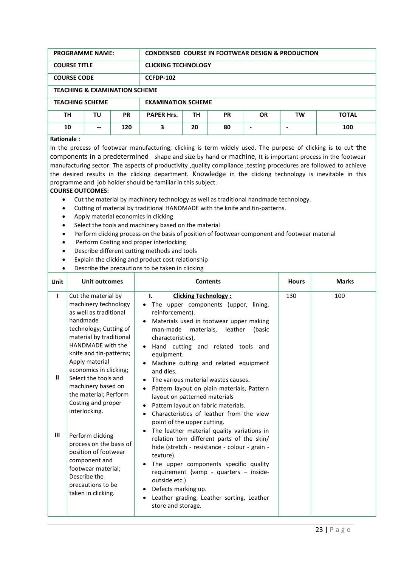| <b>PROGRAMME NAME:</b> |                                          |                  | <b>CONDENSED COURSE IN FOOTWEAR DESIGN &amp; PRODUCTION</b>             |    |    |  |   |     |
|------------------------|------------------------------------------|------------------|-------------------------------------------------------------------------|----|----|--|---|-----|
| <b>COURSE TITLE</b>    |                                          |                  | <b>CLICKING TECHNOLOGY</b>                                              |    |    |  |   |     |
| <b>COURSE CODE</b>     |                                          | <b>CCFDP-102</b> |                                                                         |    |    |  |   |     |
|                        | <b>TEACHING &amp; EXAMINATION SCHEME</b> |                  |                                                                         |    |    |  |   |     |
| <b>TEACHING SCHEME</b> |                                          |                  | <b>EXAMINATION SCHEME</b>                                               |    |    |  |   |     |
| ΤН                     | ΤU                                       | <b>PR</b>        | <b>PAPER Hrs.</b><br>TН<br><b>PR</b><br><b>OR</b><br>тw<br><b>TOTAL</b> |    |    |  |   |     |
| 10                     | --                                       | 120              | 3                                                                       | 20 | 80 |  | - | 100 |

#### **Rationale :**

In the process of footwear manufacturing, clicking is term widely used. The purpose of clicking is to cut the components in a predetermined shape and size by hand or machine, It is important process in the footwear manufacturing sector. The aspects of productivity ,quality compliance ,testing procedures are followed to achieve the desired results in the clicking department. Knowledge in the clicking technology is inevitable in this programme and job holder should be familiar in this subject.

- Cut the material by machinery technology as well as traditional handmade technology.
- Cutting of material by traditional HANDMADE with the knife and tin-patterns.
- Apply material economics in clicking
- Select the tools and machinery based on the material
- Perform clicking process on the basis of position of footwear component and footwear material
- Perform Costing and proper interlocking
- Describe different cutting methods and tools
- Explain the clicking and product cost relationship
- Describe the precautions to be taken in clicking

| Unit                              | <b>Unit outcomes</b>                                                                                                                                                                                                                                                                                                                                                                                                                                                                                                      | <b>Contents</b>                                                                                                                                                                                                                                                                                                                                                                                                                                                                                                                                                                                                                                                                                                                                                                                                                                                                                                                                                         | <b>Hours</b> | <b>Marks</b> |
|-----------------------------------|---------------------------------------------------------------------------------------------------------------------------------------------------------------------------------------------------------------------------------------------------------------------------------------------------------------------------------------------------------------------------------------------------------------------------------------------------------------------------------------------------------------------------|-------------------------------------------------------------------------------------------------------------------------------------------------------------------------------------------------------------------------------------------------------------------------------------------------------------------------------------------------------------------------------------------------------------------------------------------------------------------------------------------------------------------------------------------------------------------------------------------------------------------------------------------------------------------------------------------------------------------------------------------------------------------------------------------------------------------------------------------------------------------------------------------------------------------------------------------------------------------------|--------------|--------------|
| L<br>$\mathbf{H}$<br>$\mathbf{m}$ | Cut the material by<br>machinery technology<br>as well as traditional<br>handmade<br>technology; Cutting of<br>material by traditional<br>HANDMADE with the<br>knife and tin-patterns;<br>Apply material<br>economics in clicking;<br>Select the tools and<br>machinery based on<br>the material; Perform<br>Costing and proper<br>interlocking.<br>Perform clicking<br>process on the basis of<br>position of footwear<br>component and<br>footwear material;<br>Describe the<br>precautions to be<br>taken in clicking. | Ι.<br><b>Clicking Technology:</b><br>The upper components (upper, lining,<br>$\bullet$<br>reinforcement).<br>Materials used in footwear upper making<br>$\bullet$<br>man-made materials, leather<br>(basic<br>characteristics),<br>Hand cutting and related tools and<br>equipment.<br>Machine cutting and related equipment<br>and dies.<br>The various material wastes causes.<br>$\bullet$<br>Pattern layout on plain materials, Pattern<br>layout on patterned materials<br>Pattern layout on fabric materials.<br>Characteristics of leather from the view<br>$\bullet$<br>point of the upper cutting.<br>The leather material quality variations in<br>relation tom different parts of the skin/<br>hide (stretch - resistance - colour - grain -<br>texture).<br>The upper components specific quality<br>requirement {vamp - quarters - inside-<br>outside etc.)<br>Defects marking up.<br>٠<br>Leather grading, Leather sorting, Leather<br>store and storage. | 130          | 100          |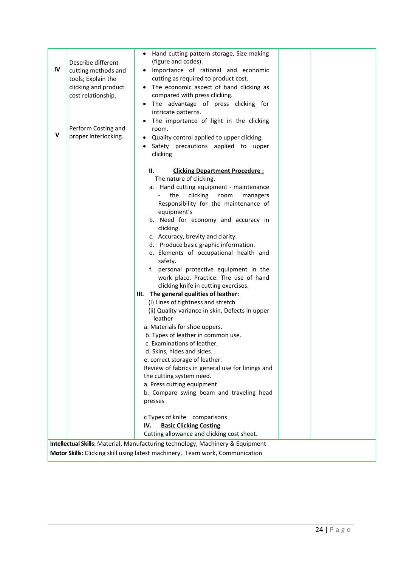|    | Describe different                        | Hand cutting pattern storage, Size making<br>(figure and codes).                      |
|----|-------------------------------------------|---------------------------------------------------------------------------------------|
| IV | cutting methods and<br>tools; Explain the | Importance of rational and economic<br>cutting as required to product cost.           |
|    | clicking and product                      | • The economic aspect of hand clicking as                                             |
|    | cost relationship.                        | compared with press clicking.                                                         |
|    |                                           | The advantage of press clicking for                                                   |
|    |                                           | intricate patterns.                                                                   |
|    | Perform Costing and                       | The importance of light in the clicking<br>room.                                      |
| V  | proper interlocking.                      | Quality control applied to upper clicking.                                            |
|    |                                           | Safety precautions applied to upper                                                   |
|    |                                           | clicking                                                                              |
|    |                                           | Н.<br><b>Clicking Department Procedure:</b>                                           |
|    |                                           | The nature of clicking.                                                               |
|    |                                           | a. Hand cutting equipment - maintenance                                               |
|    |                                           | clicking<br>the<br>room<br>managers                                                   |
|    |                                           | Responsibility for the maintenance of<br>equipment's                                  |
|    |                                           | b. Need for economy and accuracy in                                                   |
|    |                                           | clicking.                                                                             |
|    |                                           | c. Accuracy, brevity and clarity.                                                     |
|    |                                           | d. Produce basic graphic information.                                                 |
|    |                                           | e. Elements of occupational health and<br>safety.                                     |
|    |                                           | f. personal protective equipment in the                                               |
|    |                                           | work place. Practice: The use of hand                                                 |
|    |                                           | clicking knife in cutting exercises.                                                  |
|    |                                           | III. The general qualities of leather:                                                |
|    |                                           | (i) Lines of tightness and stretch<br>(ii) Quality variance in skin, Defects in upper |
|    |                                           | leather                                                                               |
|    |                                           | a. Materials for shoe uppers.                                                         |
|    |                                           | b. Types of leather in common use.                                                    |
|    |                                           | c. Examinations of leather.                                                           |
|    |                                           | d. Skins, hides and sides. .<br>e. correct storage of leather.                        |
|    |                                           | Review of fabrics in general use for linings and                                      |
|    |                                           | the cutting system need.                                                              |
|    |                                           | a. Press cutting equipment                                                            |
|    |                                           | b. Compare swing beam and traveling head<br>presses                                   |
|    |                                           |                                                                                       |
|    |                                           | c Types of knife comparisons                                                          |
|    |                                           | <b>Basic Clicking Costing</b><br>IV.                                                  |
|    |                                           | Cutting allowance and clicking cost sheet.                                            |
|    |                                           | Intellectual Skills: Material, Manufacturing technology, Machinery & Equipment        |
|    |                                           | Motor Skills: Clicking skill using latest machinery, Team work, Communication         |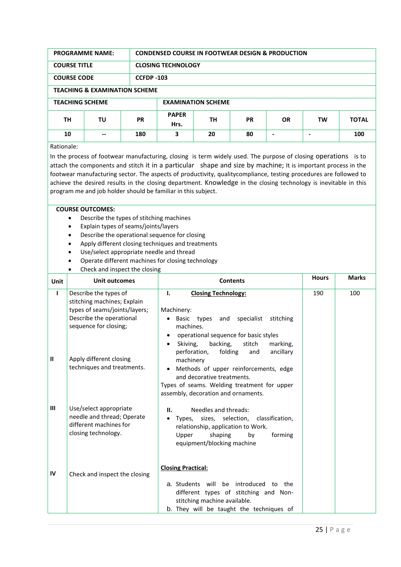| <b>PROGRAMME NAME:</b> |                                          |           | <b>CONDENSED COURSE IN FOOTWEAR DESIGN &amp; PRODUCTION</b> |    |           |           |           |              |  |
|------------------------|------------------------------------------|-----------|-------------------------------------------------------------|----|-----------|-----------|-----------|--------------|--|
| <b>COURSE TITLE</b>    |                                          |           | <b>CLOSING TECHNOLOGY</b>                                   |    |           |           |           |              |  |
| <b>COURSE CODE</b>     |                                          |           | <b>CCFDP -103</b>                                           |    |           |           |           |              |  |
|                        | <b>TEACHING &amp; EXAMINATION SCHEME</b> |           |                                                             |    |           |           |           |              |  |
| <b>TEACHING SCHEME</b> |                                          |           | <b>EXAMINATION SCHEME</b>                                   |    |           |           |           |              |  |
| ΤН                     | ΤU                                       | <b>PR</b> | <b>PAPER</b><br>Hrs.                                        | TН | <b>PR</b> | <b>OR</b> | <b>TW</b> | <b>TOTAL</b> |  |
| 10<br>180<br>--        |                                          |           | 3                                                           | 20 | 80        | ۰         |           | 100          |  |
| Rationale:             |                                          |           |                                                             |    |           |           |           |              |  |

In the process of footwear manufacturing, closing is term widely used. The purpose of closing operations is to attach the components and stitch it in a particular shape and size by machine; It is important process in the footwear manufacturing sector. The aspects of productivity, qualitycompliance, testing procedures are followed to achieve the desired results in the closing department. Knowledge in the closing technology is inevitable in this program me and job holder should be familiar in this subject.

- Describe the types of stitching machines
- Explain types of seams/joints/layers
- Describe the operational sequence for closing
- Apply different closing techniques and treatments
- Use/select appropriate needle and thread
- Operate different machines for closing technology
- Check and inspect the closing

| <b>Unit</b>  | Unit outcomes                                                                                                                              | <b>Contents</b>                                                                                                                                                                                                                             | <b>Hours</b> | <b>Marks</b> |
|--------------|--------------------------------------------------------------------------------------------------------------------------------------------|---------------------------------------------------------------------------------------------------------------------------------------------------------------------------------------------------------------------------------------------|--------------|--------------|
| $\mathbf{I}$ | Describe the types of<br>stitching machines; Explain<br>types of seams/joints/layers;<br>Describe the operational<br>sequence for closing; | Ι.<br><b>Closing Technology:</b><br>Machinery:<br>• Basic types and specialist stitching<br>machines.<br>operational sequence for basic styles<br>backing,<br>stitch<br>Skiving,<br>marking,<br>folding<br>perforation,<br>ancillary<br>and | 190          | 100          |
| $\mathbf{I}$ | Apply different closing<br>techniques and treatments.                                                                                      | machinery<br>Methods of upper reinforcements, edge<br>and decorative treatments.<br>Types of seams. Welding treatment for upper<br>assembly, decoration and ornaments.                                                                      |              |              |
| $\mathbf{m}$ | Use/select appropriate<br>needle and thread; Operate<br>different machines for<br>closing technology.                                      | Needles and threads:<br>Ш.<br>Types, sizes, selection, classification,<br>$\bullet$<br>relationship, application to Work.<br>forming<br>shaping<br>Upper<br>by<br>equipment/blocking machine                                                |              |              |
| IV           | Check and inspect the closing                                                                                                              | <b>Closing Practical:</b><br>a. Students will be introduced to the<br>different types of stitching and Non-<br>stitching machine available.<br>b. They will be taught the techniques of                                                     |              |              |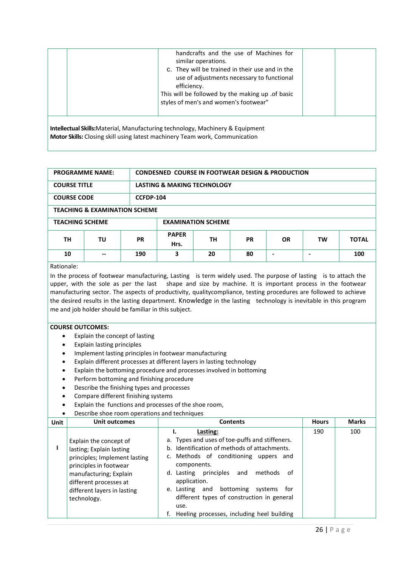|                                                                                                                                                                             | handcrafts and the use of Machines for<br>similar operations.<br>c. They will be trained in their use and in the<br>use of adjustments necessary to functional<br>efficiency.<br>This will be followed by the making up of basic<br>styles of men's and women's footwear" |  |  |  |  |  |  |
|-----------------------------------------------------------------------------------------------------------------------------------------------------------------------------|---------------------------------------------------------------------------------------------------------------------------------------------------------------------------------------------------------------------------------------------------------------------------|--|--|--|--|--|--|
| <b>Intellectual Skills:</b> Material, Manufacturing technology, Machinery & Equipment<br><b>Motor Skills:</b> Closing skill using latest machinery Team work, Communication |                                                                                                                                                                                                                                                                           |  |  |  |  |  |  |

| <b>PROGRAMME NAME:</b> |                                          |           | <b>CONDESNED COURSE IN FOOTWEAR DESIGN &amp; PRODUCTION</b> |    |           |           |    |              |
|------------------------|------------------------------------------|-----------|-------------------------------------------------------------|----|-----------|-----------|----|--------------|
| <b>COURSE TITLE</b>    |                                          |           | <b>LASTING &amp; MAKING TECHNOLOGY</b>                      |    |           |           |    |              |
| <b>COURSE CODE</b>     |                                          | CCFDP-104 |                                                             |    |           |           |    |              |
|                        | <b>TEACHING &amp; EXAMINATION SCHEME</b> |           |                                                             |    |           |           |    |              |
| <b>TEACHING SCHEME</b> |                                          |           | <b>EXAMINATION SCHEME</b>                                   |    |           |           |    |              |
| TН                     | ΤU                                       | <b>PR</b> | <b>PAPER</b><br>Hrs.                                        | TН | <b>PR</b> | <b>OR</b> | TW | <b>TOTAL</b> |
| 10                     | --                                       | 190       | 3                                                           | 20 | 80        | ۰         |    | 100          |
| Dettemate:             |                                          |           |                                                             |    |           |           |    |              |

#### Rationale:

In the process of footwear manufacturing, Lasting is term widely used. The purpose of lasting is to attach the upper, with the sole as per the last shape and size by machine. It is important process in the footwear manufacturing sector. The aspects of productivity, qualitycompliance, testing procedures are followed to achieve the desired results in the lasting department. Knowledge in the lasting technology is inevitable in this program me and job holder should be familiar in this subject.

#### **COURSE OUTCOMES:**

- Explain the concept of lasting
- Explain lasting principles
- Implement lasting principles in footwear manufacturing
- Explain different processes at different layers in lasting technology
- Explain the bottoming procedure and processes involved in bottoming
- Perform bottoming and finishing procedure
- Describe the finishing types and processes
- Compare different finishing systems
- Explain the functions and processes of the shoe room,

#### Describe shoe room operations and techniques

| Unit | Unit outcomes                                                                                                                                                                                                   | <b>Contents</b>                                                                                                                                                                                                                                                                                                                                                                          | <b>Hours</b> | <b>Marks</b> |
|------|-----------------------------------------------------------------------------------------------------------------------------------------------------------------------------------------------------------------|------------------------------------------------------------------------------------------------------------------------------------------------------------------------------------------------------------------------------------------------------------------------------------------------------------------------------------------------------------------------------------------|--------------|--------------|
|      | Explain the concept of<br>lasting; Explain lasting<br>principles; Implement lasting<br>principles in footwear<br>manufacturing; Explain<br>different processes at<br>different layers in lasting<br>technology. | Lasting:<br>a. Types and uses of toe-puffs and stiffeners.<br>b. Identification of methods of attachments.<br>c. Methods of conditioning uppers and<br>components.<br>d. Lasting principles<br>methods<br>and<br>of<br>application.<br>bottoming<br>e. Lasting and<br>systems<br>for<br>different types of construction in general<br>use.<br>Heeling processes, including heel building | 190          | 100          |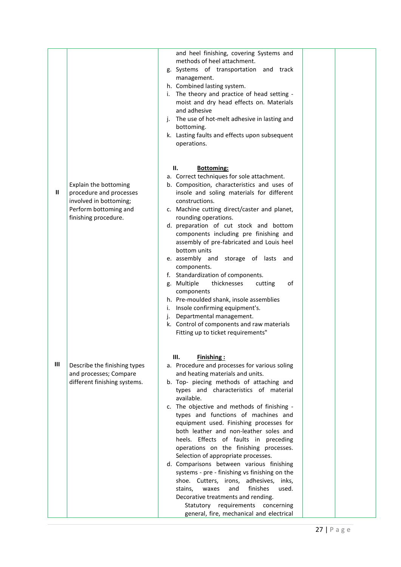|   |                                                                                                                             | and heel finishing, covering Systems and                                                                                                                                                                                                                                                                                                                                                                                                                                                                                                                                                                                                                                                                                                            |  |
|---|-----------------------------------------------------------------------------------------------------------------------------|-----------------------------------------------------------------------------------------------------------------------------------------------------------------------------------------------------------------------------------------------------------------------------------------------------------------------------------------------------------------------------------------------------------------------------------------------------------------------------------------------------------------------------------------------------------------------------------------------------------------------------------------------------------------------------------------------------------------------------------------------------|--|
|   |                                                                                                                             | methods of heel attachment.<br>g. Systems of transportation and track<br>management.<br>h. Combined lasting system.<br>i. The theory and practice of head setting -<br>moist and dry head effects on. Materials<br>and adhesive<br>j. The use of hot-melt adhesive in lasting and<br>bottoming.<br>k. Lasting faults and effects upon subsequent<br>operations.                                                                                                                                                                                                                                                                                                                                                                                     |  |
|   |                                                                                                                             |                                                                                                                                                                                                                                                                                                                                                                                                                                                                                                                                                                                                                                                                                                                                                     |  |
|   |                                                                                                                             | Н.<br><b>Bottoming:</b>                                                                                                                                                                                                                                                                                                                                                                                                                                                                                                                                                                                                                                                                                                                             |  |
| Ш | Explain the bottoming<br>procedure and processes<br>involved in bottoming;<br>Perform bottoming and<br>finishing procedure. | a. Correct techniques for sole attachment.<br>b. Composition, characteristics and uses of<br>insole and soling materials for different<br>constructions.<br>c. Machine cutting direct/caster and planet,<br>rounding operations.<br>d. preparation of cut stock and bottom<br>components including pre finishing and<br>assembly of pre-fabricated and Louis heel<br>bottom units<br>e. assembly and storage of lasts and<br>components.<br>f. Standardization of components.<br>thicknesses<br>g. Multiple<br>cutting<br>οf<br>components<br>h. Pre-moulded shank, insole assemblies<br>Insole confirming equipment's.<br>i.<br>Departmental management.<br>j.<br>k. Control of components and raw materials<br>Fitting up to ticket requirements" |  |
| Ш | Describe the finishing types<br>and processes; Compare<br>different finishing systems.                                      | Ш.<br><b>Finishing:</b><br>a. Procedure and processes for various soling<br>and heating materials and units.<br>b. Top- piecing methods of attaching and<br>types and characteristics of material<br>available.<br>c. The objective and methods of finishing -<br>types and functions of machines and<br>equipment used. Finishing processes for<br>both leather and non-leather soles and<br>heels. Effects of faults in preceding<br>operations on the finishing processes.<br>Selection of appropriate processes.<br>d. Comparisons between various finishing<br>systems - pre - finishing vs finishing on the<br>shoe. Cutters, irons, adhesives, inks,<br>finishes<br>used.<br>waxes<br>and<br>stains,<br>Decorative treatments and rending.   |  |
|   |                                                                                                                             | Statutory requirements concerning<br>general, fire, mechanical and electrical                                                                                                                                                                                                                                                                                                                                                                                                                                                                                                                                                                                                                                                                       |  |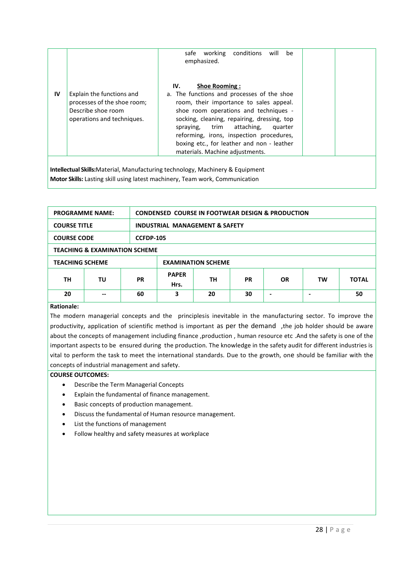|    |                                                                                                                                                                       | will<br>safe<br>working<br>conditions<br>be<br>emphasized.                                                                                                                                                                                                                                                                                                                           |  |  |  |  |  |  |
|----|-----------------------------------------------------------------------------------------------------------------------------------------------------------------------|--------------------------------------------------------------------------------------------------------------------------------------------------------------------------------------------------------------------------------------------------------------------------------------------------------------------------------------------------------------------------------------|--|--|--|--|--|--|
| IV | Explain the functions and<br>processes of the shoe room;<br>Describe shoe room<br>operations and techniques.                                                          | <b>Shoe Rooming:</b><br>IV.<br>a. The functions and processes of the shoe<br>room, their importance to sales appeal.<br>shoe room operations and techniques -<br>socking, cleaning, repairing, dressing, top<br>attaching,<br>spraying, trim<br>quarter<br>reforming, irons, inspection procedures,<br>boxing etc., for leather and non - leather<br>materials. Machine adjustments. |  |  |  |  |  |  |
|    | <b>Intellectual Skills:</b> Material, Manufacturing technology, Machinery & Equipment<br>Motor Skills: Lasting skill using latest machinery, Team work, Communication |                                                                                                                                                                                                                                                                                                                                                                                      |  |  |  |  |  |  |

| <b>PROGRAMME NAME:</b> |                                          |    | <b>CONDENSED COURSE IN FOOTWEAR DESIGN &amp; PRODUCTION</b> |    |           |           |    |              |
|------------------------|------------------------------------------|----|-------------------------------------------------------------|----|-----------|-----------|----|--------------|
| <b>COURSE TITLE</b>    |                                          |    | <b>INDUSTRIAL MANAGEMENT &amp; SAFETY</b>                   |    |           |           |    |              |
| <b>COURSE CODE</b>     |                                          |    | <b>CCFDP-105</b>                                            |    |           |           |    |              |
|                        | <b>TEACHING &amp; EXAMINATION SCHEME</b> |    |                                                             |    |           |           |    |              |
| <b>TEACHING SCHEME</b> |                                          |    | <b>EXAMINATION SCHEME</b>                                   |    |           |           |    |              |
| TН<br>ΤU<br><b>PR</b>  |                                          |    | <b>PAPER</b><br>Hrs.                                        | TН | <b>PR</b> | <b>OR</b> | TW | <b>TOTAL</b> |
| 20                     | $-$                                      | 60 | 3                                                           | 20 | 30        |           |    | 50           |
| - - -                  |                                          |    |                                                             |    |           |           |    |              |

#### **Rationale:**

The modern managerial concepts and the principlesis inevitable in the manufacturing sector. To improve the productivity, application of scientific method is important as per the demand ,the job holder should be aware about the concepts of management including finance ,production , human resource etc .And the safety is one of the important aspects to be ensured during the production. The knowledge in the safety audit for different industries is vital to perform the task to meet the international standards. Due to the growth, one should be familiar with the concepts of industrial management and safety.

- Describe the Term Managerial Concepts
- Explain the fundamental of finance management.
- Basic concepts of production management.
- Discuss the fundamental of Human resource management.
- List the functions of management
- Follow healthy and safety measures at workplace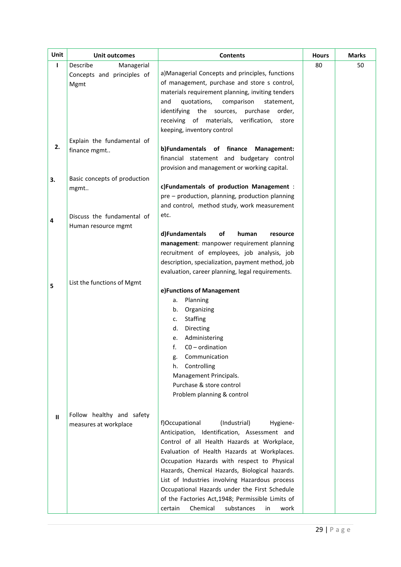| Unit         | <b>Unit outcomes</b>         | <b>Contents</b>                                   | <b>Hours</b> | <b>Marks</b> |
|--------------|------------------------------|---------------------------------------------------|--------------|--------------|
| $\mathbf{I}$ | Describe<br>Managerial       |                                                   | 80           | 50           |
|              | Concepts and principles of   | a)Managerial Concepts and principles, functions   |              |              |
|              | Mgmt                         | of management, purchase and store s control,      |              |              |
|              |                              | materials requirement planning, inviting tenders  |              |              |
|              |                              | and<br>quotations,<br>comparison<br>statement,    |              |              |
|              |                              | identifying the sources,<br>purchase<br>order,    |              |              |
|              |                              | receiving of materials,<br>verification,<br>store |              |              |
|              |                              | keeping, inventory control                        |              |              |
|              | Explain the fundamental of   |                                                   |              |              |
| 2.           | finance mgmt                 | b)Fundamentals of finance Management:             |              |              |
|              |                              | financial statement and budgetary control         |              |              |
|              |                              | provision and management or working capital.      |              |              |
| 3.           | Basic concepts of production |                                                   |              |              |
|              | mgmt                         | c)Fundamentals of production Management :         |              |              |
|              |                              | pre - production, planning, production planning   |              |              |
|              |                              | and control, method study, work measurement       |              |              |
| 4            | Discuss the fundamental of   | etc.                                              |              |              |
|              | Human resource mgmt          |                                                   |              |              |
|              |                              | d)Fundamentals<br>οf<br>human<br>resource         |              |              |
|              |                              | management: manpower requirement planning         |              |              |
|              |                              | recruitment of employees, job analysis, job       |              |              |
|              |                              | description, specialization, payment method, job  |              |              |
|              |                              | evaluation, career planning, legal requirements.  |              |              |
| 5            | List the functions of Mgmt   |                                                   |              |              |
|              |                              | e)Functions of Management                         |              |              |
|              |                              | Planning<br>а.                                    |              |              |
|              |                              | Organizing<br>b.                                  |              |              |
|              |                              | <b>Staffing</b><br>c.                             |              |              |
|              |                              | d.<br>Directing                                   |              |              |
|              |                              | Administering<br>e.                               |              |              |
|              |                              | f.<br>$CO - ordination$                           |              |              |
|              |                              | Communication<br>g.                               |              |              |
|              |                              | Controlling<br>h.                                 |              |              |
|              |                              | Management Principals.                            |              |              |
|              |                              | Purchase & store control                          |              |              |
|              |                              | Problem planning & control                        |              |              |
|              |                              |                                                   |              |              |
| $\mathbf{H}$ | Follow healthy and safety    | (Industrial)<br>f)Occupational<br>Hygiene-        |              |              |
|              | measures at workplace        | Anticipation, Identification, Assessment and      |              |              |
|              |                              | Control of all Health Hazards at Workplace,       |              |              |
|              |                              | Evaluation of Health Hazards at Workplaces.       |              |              |
|              |                              | Occupation Hazards with respect to Physical       |              |              |
|              |                              | Hazards, Chemical Hazards, Biological hazards.    |              |              |
|              |                              | List of Industries involving Hazardous process    |              |              |
|              |                              | Occupational Hazards under the First Schedule     |              |              |
|              |                              | of the Factories Act, 1948; Permissible Limits of |              |              |
|              |                              | Chemical<br>substances<br>certain<br>in<br>work   |              |              |
|              |                              |                                                   |              |              |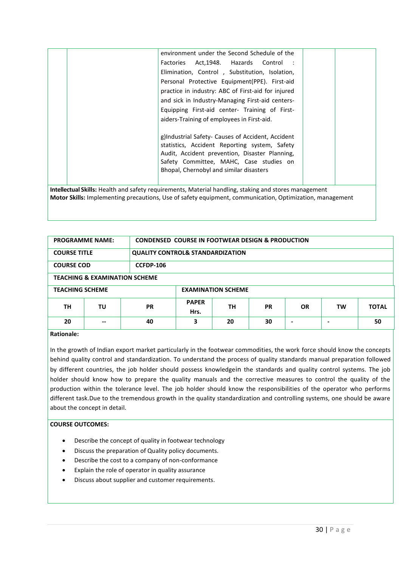|                                                                                                              | environment under the Second Schedule of the       |  |  |  |  |  |
|--------------------------------------------------------------------------------------------------------------|----------------------------------------------------|--|--|--|--|--|
|                                                                                                              | Factories Act, 1948. Hazards Control :             |  |  |  |  |  |
|                                                                                                              | Elimination, Control, Substitution, Isolation,     |  |  |  |  |  |
|                                                                                                              | Personal Protective Equipment(PPE). First-aid      |  |  |  |  |  |
|                                                                                                              | practice in industry: ABC of First-aid for injured |  |  |  |  |  |
|                                                                                                              | and sick in Industry-Managing First-aid centers-   |  |  |  |  |  |
|                                                                                                              | Equipping First-aid center- Training of First-     |  |  |  |  |  |
|                                                                                                              | aiders-Training of employees in First-aid.         |  |  |  |  |  |
|                                                                                                              |                                                    |  |  |  |  |  |
|                                                                                                              | g)Industrial Safety- Causes of Accident, Accident  |  |  |  |  |  |
|                                                                                                              | statistics, Accident Reporting system, Safety      |  |  |  |  |  |
|                                                                                                              | Audit, Accident prevention, Disaster Planning,     |  |  |  |  |  |
|                                                                                                              | Safety Committee, MAHC, Case studies on            |  |  |  |  |  |
|                                                                                                              | Bhopal, Chernobyl and similar disasters            |  |  |  |  |  |
|                                                                                                              |                                                    |  |  |  |  |  |
| <b>Intellectual Skills:</b> Health and safety requirements, Material handling, staking and stores management |                                                    |  |  |  |  |  |
| Motor Skills: Implementing precautions, Use of safety equipment, communication, Optimization, management     |                                                    |  |  |  |  |  |

| <b>PROGRAMME NAME:</b>                   |  |                  | <b>CONDENSED COURSE IN FOOTWEAR DESIGN &amp; PRODUCTION</b> |           |           |     |    |              |
|------------------------------------------|--|------------------|-------------------------------------------------------------|-----------|-----------|-----|----|--------------|
| <b>COURSE TITLE</b>                      |  |                  | <b>QUALITY CONTROL&amp; STANDARDIZATION</b>                 |           |           |     |    |              |
| <b>COURSE COD</b>                        |  | <b>CCFDP-106</b> |                                                             |           |           |     |    |              |
| <b>TEACHING &amp; EXAMINATION SCHEME</b> |  |                  |                                                             |           |           |     |    |              |
| <b>TEACHING SCHEME</b>                   |  |                  | <b>EXAMINATION SCHEME</b>                                   |           |           |     |    |              |
| ΤU<br>TН<br><b>PR</b>                    |  |                  | <b>PAPER</b><br>Hrs.                                        | <b>TH</b> | <b>PR</b> | OR. | TW | <b>TOTAL</b> |
| 20<br>--<br>- - -                        |  | 40               | 3                                                           | 20        | 30        | ۰   | ۰  | 50           |

#### **Rationale:**

In the growth of Indian export market particularly in the footwear commodities, the work force should know the concepts behind quality control and standardization. To understand the process of quality standards manual preparation followed by different countries, the job holder should possess knowledgein the standards and quality control systems. The job holder should know how to prepare the quality manuals and the corrective measures to control the quality of the production within the tolerance level. The job holder should know the responsibilities of the operator who performs different task.Due to the tremendous growth in the quality standardization and controlling systems, one should be aware about the concept in detail.

- Describe the concept of quality in footwear technology
- Discuss the preparation of Quality policy documents.
- Describe the cost to a company of non-conformance
- Explain the role of operator in quality assurance
- Discuss about supplier and customer requirements.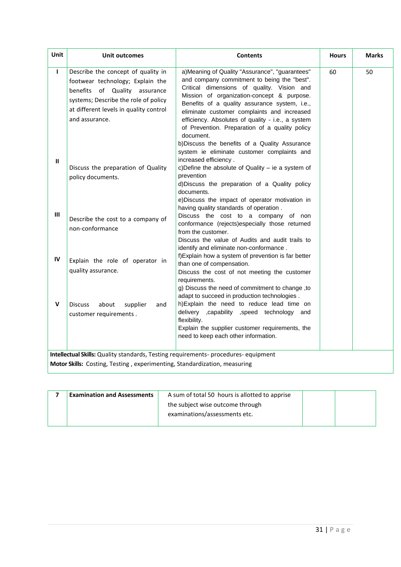| Unit           | Unit outcomes                                                                                                                                                                                               | <b>Contents</b>                                                                                                                                                                                                                                                                                                                                                                                                                                                                                                                         | <b>Hours</b> | <b>Marks</b> |
|----------------|-------------------------------------------------------------------------------------------------------------------------------------------------------------------------------------------------------------|-----------------------------------------------------------------------------------------------------------------------------------------------------------------------------------------------------------------------------------------------------------------------------------------------------------------------------------------------------------------------------------------------------------------------------------------------------------------------------------------------------------------------------------------|--------------|--------------|
| L              | Describe the concept of quality in<br>footwear technology; Explain the<br>benefits of Quality assurance<br>systems; Describe the role of policy<br>at different levels in quality control<br>and assurance. | a) Meaning of Quality "Assurance", "guarantees"<br>and company commitment to being the "best".<br>Critical dimensions of quality. Vision and<br>Mission of organization-concept & purpose.<br>Benefits of a quality assurance system, i.e.,<br>eliminate customer complaints and increased<br>efficiency. Absolutes of quality - i.e., a system<br>of Prevention. Preparation of a quality policy<br>document.<br>b)Discuss the benefits of a Quality Assurance<br>system ie eliminate customer complaints and<br>increased efficiency. | 60           | 50           |
| $\mathbf{u}$   | Discuss the preparation of Quality<br>policy documents.                                                                                                                                                     | c) Define the absolute of Quality $-$ ie a system of<br>prevention<br>d)Discuss the preparation of a Quality policy<br>documents.<br>e)Discuss the impact of operator motivation in<br>having quality standards of operation.                                                                                                                                                                                                                                                                                                           |              |              |
| $\mathbf{III}$ | Describe the cost to a company of<br>non-conformance                                                                                                                                                        | Discuss the cost to a company of non<br>conformance (rejects)especially those returned<br>from the customer.<br>Discuss the value of Audits and audit trails to<br>identify and eliminate non-conformance.                                                                                                                                                                                                                                                                                                                              |              |              |
| IV             | Explain the role of operator in<br>quality assurance.                                                                                                                                                       | f) Explain how a system of prevention is far better<br>than one of compensation.<br>Discuss the cost of not meeting the customer<br>requirements.<br>g) Discuss the need of commitment to change, to<br>adapt to succeed in production technologies.                                                                                                                                                                                                                                                                                    |              |              |
| v              | about<br><b>Discuss</b><br>supplier<br>and<br>customer requirements.                                                                                                                                        | h)Explain the need to reduce lead time on<br>delivery , capability , speed technology and<br>flexibility.<br>Explain the supplier customer requirements, the<br>need to keep each other information.                                                                                                                                                                                                                                                                                                                                    |              |              |
|                | Intellectual Skills: Quality standards, Testing requirements- procedures- equipment                                                                                                                         |                                                                                                                                                                                                                                                                                                                                                                                                                                                                                                                                         |              |              |
|                | Motor Skills: Costing, Testing, experimenting, Standardization, measuring                                                                                                                                   |                                                                                                                                                                                                                                                                                                                                                                                                                                                                                                                                         |              |              |

| <b>Examination and Assessments</b> | A sum of total 50 hours is allotted to apprise |  |
|------------------------------------|------------------------------------------------|--|
|                                    | the subject wise outcome through               |  |
|                                    | examinations/assessments etc.                  |  |
|                                    |                                                |  |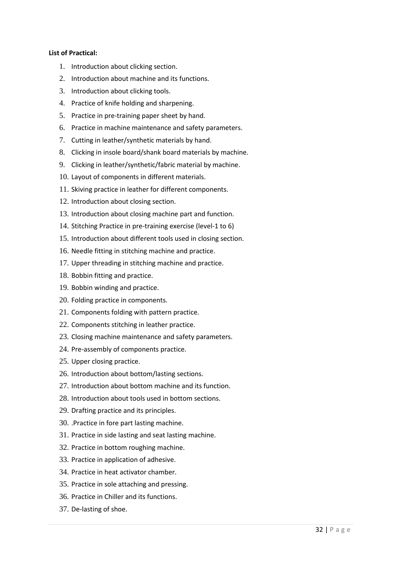#### **List of Practical:**

- 1. Introduction about clicking section.
- 2. Introduction about machine and its functions.
- 3. Introduction about clicking tools.
- 4. Practice of knife holding and sharpening.
- 5. Practice in pre-training paper sheet by hand.
- 6. Practice in machine maintenance and safety parameters.
- 7. Cutting in leather/synthetic materials by hand.
- 8. Clicking in insole board/shank board materials by machine.
- 9. Clicking in leather/synthetic/fabric material by machine.
- 10. Layout of components in different materials.
- 11. Skiving practice in leather for different components.
- 12. Introduction about closing section.
- 13. Introduction about closing machine part and function.
- 14. Stitching Practice in pre-training exercise (level-1 to 6)
- 15. Introduction about different tools used in closing section.
- 16. Needle fitting in stitching machine and practice.
- 17. Upper threading in stitching machine and practice.
- 18. Bobbin fitting and practice.
- 19. Bobbin winding and practice.
- 20. Folding practice in components.
- 21. Components folding with pattern practice.
- 22. Components stitching in leather practice.
- 23. Closing machine maintenance and safety parameters.
- 24. Pre-assembly of components practice.
- 25. Upper closing practice.
- 26. Introduction about bottom/lasting sections.
- 27. Introduction about bottom machine and its function.
- 28. Introduction about tools used in bottom sections.
- 29. Drafting practice and its principles.
- 30. .Practice in fore part lasting machine.
- 31. Practice in side lasting and seat lasting machine.
- 32. Practice in bottom roughing machine.
- 33. Practice in application of adhesive.
- 34. Practice in heat activator chamber.
- 35. Practice in sole attaching and pressing.
- 36. Practice in Chiller and its functions.
- 37. De-lasting of shoe.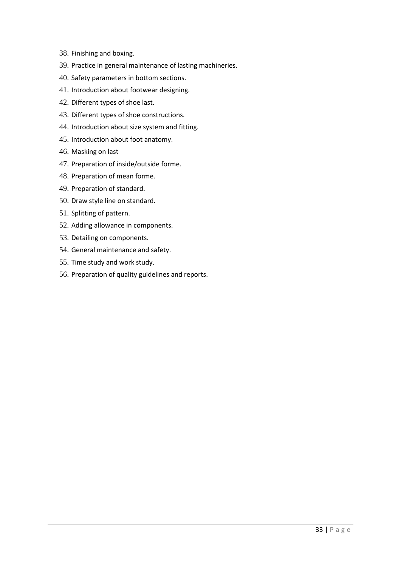- 38. Finishing and boxing.
- 39. Practice in general maintenance of lasting machineries.
- 40. Safety parameters in bottom sections.
- 41. Introduction about footwear designing.
- 42. Different types of shoe last.
- 43. Different types of shoe constructions.
- 44. Introduction about size system and fitting.
- 45. Introduction about foot anatomy.
- 46. Masking on last
- 47. Preparation of inside/outside forme.
- 48. Preparation of mean forme.
- 49. Preparation of standard.
- 50. Draw style line on standard.
- 51. Splitting of pattern.
- 52. Adding allowance in components.
- 53. Detailing on components.
- 54. General maintenance and safety.
- 55. Time study and work study.
- 56. Preparation of quality guidelines and reports.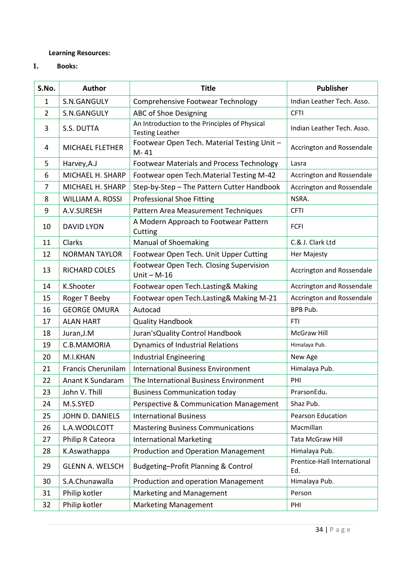## **Learning Resources:**

**1. Books:** 

| S.No.          | <b>Author</b>             | <b>Title</b>                                                            | <b>Publisher</b>                   |
|----------------|---------------------------|-------------------------------------------------------------------------|------------------------------------|
| 1              | S.N.GANGULY               | Comprehensive Footwear Technology                                       | Indian Leather Tech. Asso.         |
| $\overline{2}$ | S.N.GANGULY               | ABC of Shoe Designing                                                   | <b>CFTI</b>                        |
| 3              | S.S. DUTTA                | An Introduction to the Principles of Physical<br><b>Testing Leather</b> | Indian Leather Tech. Asso.         |
| 4              | MICHAEL FLETHER           | Footwear Open Tech. Material Testing Unit -<br>M-41                     | Accrington and Rossendale          |
| 5              | Harvey, A.J               | Footwear Materials and Process Technology                               | Lasra                              |
| 6              | MICHAEL H. SHARP          | Footwear open Tech. Material Testing M-42                               | Accrington and Rossendale          |
| 7              | MICHAEL H. SHARP          | Step-by-Step - The Pattern Cutter Handbook                              | Accrington and Rossendale          |
| 8              | <b>WILLIAM A. ROSSI</b>   | <b>Professional Shoe Fitting</b>                                        | NSRA.                              |
| 9              | A.V.SURESH                | Pattern Area Measurement Techniques                                     | <b>CFTI</b>                        |
| 10             | <b>DAVID LYON</b>         | A Modern Approach to Footwear Pattern<br>Cutting                        | <b>FCFI</b>                        |
| 11             | Clarks                    | <b>Manual of Shoemaking</b>                                             | C.& J. Clark Ltd                   |
| 12             | <b>NORMAN TAYLOR</b>      | Footwear Open Tech. Unit Upper Cutting                                  | Her Majesty                        |
| 13             | <b>RICHARD COLES</b>      | Footwear Open Tech. Closing Supervision<br>Unit $- M-16$                | Accrington and Rossendale          |
| 14             | K.Shooter                 | Footwear open Tech.Lasting& Making                                      | Accrington and Rossendale          |
| 15             | Roger T Beeby             | Footwear open Tech.Lasting& Making M-21                                 | Accrington and Rossendale          |
| 16             | <b>GEORGE OMURA</b>       | Autocad                                                                 | BPB Pub.                           |
| 17             | <b>ALAN HART</b>          | <b>Quality Handbook</b>                                                 | <b>FTI</b>                         |
| 18             | Juran, J.M                | Juran's Quality Control Handbook                                        | McGraw Hill                        |
| 19             | C.B.MAMORIA               | Dynamics of Industrial Relations                                        | Himalaya Pub.                      |
| 20             | M.I.KHAN                  | <b>Industrial Engineering</b>                                           | New Age                            |
| 21             | <b>Francis Cherunilam</b> | <b>International Business Environment</b>                               | Himalaya Pub.                      |
| 22             | <b>Anant K Sundaram</b>   | The International Business Environment                                  | PHI                                |
| 23             | John V. Thill             | <b>Business Communication today</b>                                     | PrarsonEdu.                        |
| 24             | M.S.SYED                  | Perspective & Communication Management                                  | Shaz Pub.                          |
| 25             | JOHN D. DANIELS           | <b>International Business</b>                                           | Pearson Education                  |
| 26             | L.A.WOOLCOTT              | <b>Mastering Business Communications</b>                                | Macmillan                          |
| 27             | Philip R Cateora          | <b>International Marketing</b>                                          | Tata McGraw Hill                   |
| 28             | K.Aswathappa              | Production and Operation Management                                     | Himalaya Pub.                      |
| 29             | <b>GLENN A. WELSCH</b>    | Budgeting-Profit Planning & Control                                     | Prentice-Hall International<br>Ed. |
| 30             | S.A.Chunawalla            | Production and operation Management                                     | Himalaya Pub.                      |
| 31             | Philip kotler             | Marketing and Management                                                | Person                             |
| 32             | Philip kotler             | <b>Marketing Management</b>                                             | PHI                                |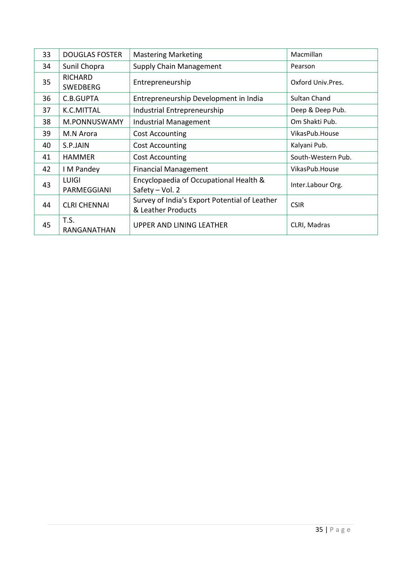| 33 | <b>DOUGLAS FOSTER</b>       | <b>Mastering Marketing</b>                                          | Macmillan          |
|----|-----------------------------|---------------------------------------------------------------------|--------------------|
| 34 | Sunil Chopra                | <b>Supply Chain Management</b>                                      | Pearson            |
| 35 | RICHARD<br><b>SWEDBERG</b>  | Entrepreneurship                                                    | Oxford Univ.Pres.  |
| 36 | C.B.GUPTA                   | Entrepreneurship Development in India                               | Sultan Chand       |
| 37 | K.C.MITTAL                  | Industrial Entrepreneurship                                         | Deep & Deep Pub.   |
| 38 | M.PONNUSWAMY                | Industrial Management                                               | Om Shakti Pub.     |
| 39 | M.N Arora                   | <b>Cost Accounting</b>                                              | VikasPub.House     |
| 40 | S.P.JAIN                    | <b>Cost Accounting</b>                                              | Kalyani Pub.       |
| 41 | <b>HAMMER</b>               | <b>Cost Accounting</b>                                              | South-Western Pub. |
| 42 | I M Pandey                  | <b>Financial Management</b>                                         | VikasPub.House     |
| 43 | <b>LUIGI</b><br>PARMEGGIANI | Encyclopaedia of Occupational Health &<br>Safety - Vol. 2           | Inter.Labour Org.  |
| 44 | <b>CLRI CHENNAI</b>         | Survey of India's Export Potential of Leather<br>& Leather Products | <b>CSIR</b>        |
| 45 | T.S.<br>RANGANATHAN         | UPPER AND LINING LEATHER                                            | CLRI, Madras       |